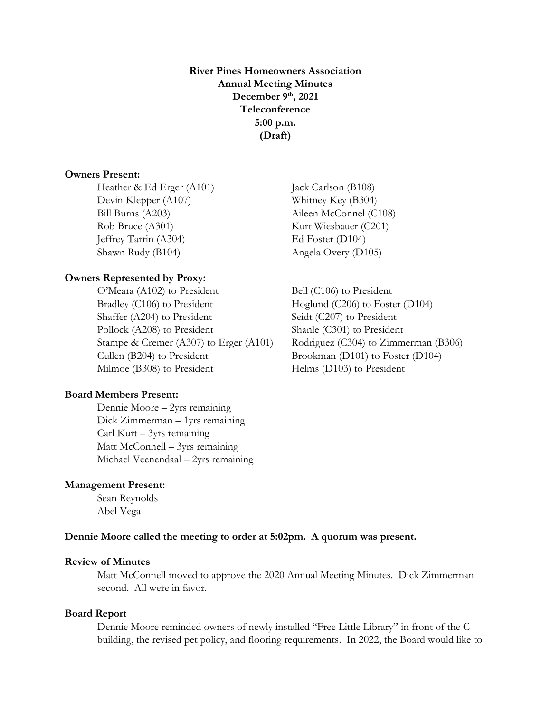**River Pines Homeowners Association Annual Meeting Minutes December 9 th, 2021 Teleconference 5:00 p.m. (Draft)**

# **Owners Present:**

Heather & Ed Erger (A101) Jack Carlson (B108) Devin Klepper (A107) Whitney Key (B304) Bill Burns (A203) Aileen McConnel (C108) Rob Bruce (A301) Kurt Wiesbauer (C201) Jeffrey Tarrin (A304) Ed Foster (D104) Shawn Rudy (B104) Angela Overy (D105)

### **Owners Represented by Proxy:**

O'Meara (A102) to President Bell (C106) to President Bradley (C106) to President Hoglund (C206) to Foster (D104) Shaffer (A204) to President Seidt (C207) to President Pollock (A208) to President Shanle (C301) to President Stampe & Cremer (A307) to Erger (A101) Rodriguez (C304) to Zimmerman (B306) Cullen (B204) to President Brookman (D101) to Foster (D104) Milmoe (B308) to President Helms (D103) to President

### **Board Members Present:**

Dennie Moore – 2yrs remaining Dick Zimmerman – 1yrs remaining Carl Kurt – 3yrs remaining Matt McConnell – 3yrs remaining Michael Veenendaal – 2yrs remaining

### **Management Present:**

Sean Reynolds Abel Vega

#### **Dennie Moore called the meeting to order at 5:02pm. A quorum was present.**

#### **Review of Minutes**

Matt McConnell moved to approve the 2020 Annual Meeting Minutes. Dick Zimmerman second. All were in favor.

## **Board Report**

Dennie Moore reminded owners of newly installed "Free Little Library" in front of the Cbuilding, the revised pet policy, and flooring requirements. In 2022, the Board would like to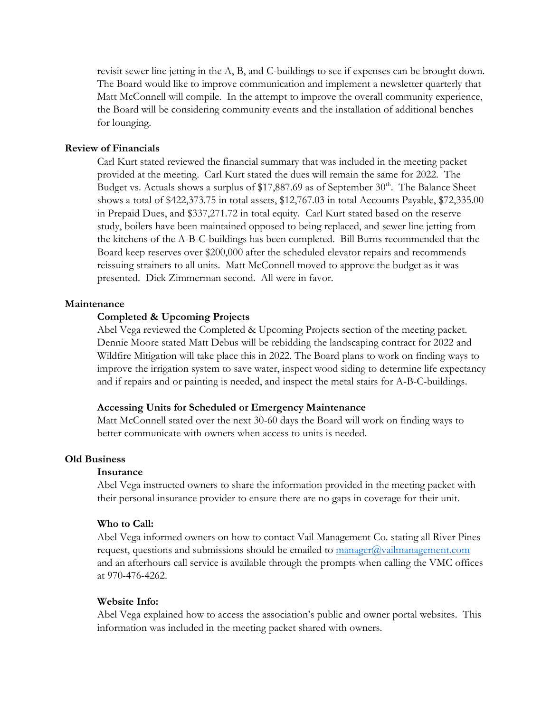revisit sewer line jetting in the A, B, and C-buildings to see if expenses can be brought down. The Board would like to improve communication and implement a newsletter quarterly that Matt McConnell will compile. In the attempt to improve the overall community experience, the Board will be considering community events and the installation of additional benches for lounging.

# **Review of Financials**

Carl Kurt stated reviewed the financial summary that was included in the meeting packet provided at the meeting. Carl Kurt stated the dues will remain the same for 2022. The Budget vs. Actuals shows a surplus of \$17,887.69 as of September  $30<sup>th</sup>$ . The Balance Sheet shows a total of \$422,373.75 in total assets, \$12,767.03 in total Accounts Payable, \$72,335.00 in Prepaid Dues, and \$337,271.72 in total equity. Carl Kurt stated based on the reserve study, boilers have been maintained opposed to being replaced, and sewer line jetting from the kitchens of the A-B-C-buildings has been completed. Bill Burns recommended that the Board keep reserves over \$200,000 after the scheduled elevator repairs and recommends reissuing strainers to all units. Matt McConnell moved to approve the budget as it was presented. Dick Zimmerman second. All were in favor.

## **Maintenance**

# **Completed & Upcoming Projects**

Abel Vega reviewed the Completed & Upcoming Projects section of the meeting packet. Dennie Moore stated Matt Debus will be rebidding the landscaping contract for 2022 and Wildfire Mitigation will take place this in 2022. The Board plans to work on finding ways to improve the irrigation system to save water, inspect wood siding to determine life expectancy and if repairs and or painting is needed, and inspect the metal stairs for A-B-C-buildings.

#### **Accessing Units for Scheduled or Emergency Maintenance**

Matt McConnell stated over the next 30-60 days the Board will work on finding ways to better communicate with owners when access to units is needed.

# **Old Business**

### **Insurance**

Abel Vega instructed owners to share the information provided in the meeting packet with their personal insurance provider to ensure there are no gaps in coverage for their unit.

## **Who to Call:**

Abel Vega informed owners on how to contact Vail Management Co. stating all River Pines request, questions and submissions should be emailed to  $\overline{m}$  manager $\overline{a}$  vailmanagement.com and an afterhours call service is available through the prompts when calling the VMC offices at 970-476-4262.

#### **Website Info:**

Abel Vega explained how to access the association's public and owner portal websites. This information was included in the meeting packet shared with owners.